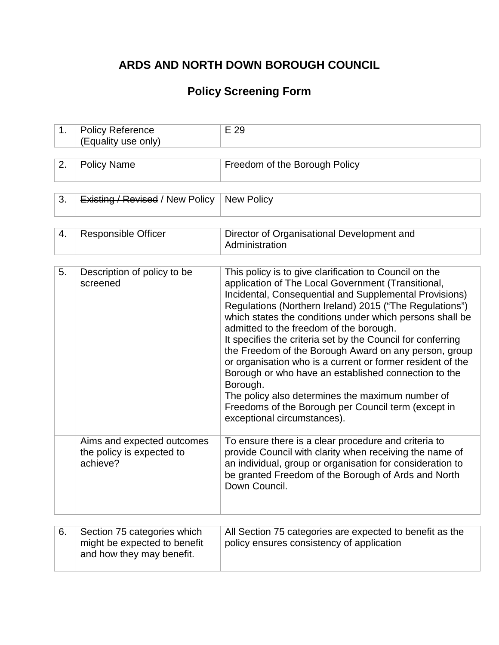## **ARDS AND NORTH DOWN BOROUGH COUNCIL**

# **Policy Screening Form**

| 1. | <b>Policy Reference</b><br>(Equality use only)                                           | E 29                                                                                                                                                                                                                                                                                                                                                                                                                                                                                                                                                                                                                                                                                                                                         |
|----|------------------------------------------------------------------------------------------|----------------------------------------------------------------------------------------------------------------------------------------------------------------------------------------------------------------------------------------------------------------------------------------------------------------------------------------------------------------------------------------------------------------------------------------------------------------------------------------------------------------------------------------------------------------------------------------------------------------------------------------------------------------------------------------------------------------------------------------------|
|    |                                                                                          |                                                                                                                                                                                                                                                                                                                                                                                                                                                                                                                                                                                                                                                                                                                                              |
| 2. | <b>Policy Name</b>                                                                       | Freedom of the Borough Policy                                                                                                                                                                                                                                                                                                                                                                                                                                                                                                                                                                                                                                                                                                                |
|    |                                                                                          |                                                                                                                                                                                                                                                                                                                                                                                                                                                                                                                                                                                                                                                                                                                                              |
| 3. | <b>Existing / Revised / New Policy</b>                                                   | <b>New Policy</b>                                                                                                                                                                                                                                                                                                                                                                                                                                                                                                                                                                                                                                                                                                                            |
|    |                                                                                          |                                                                                                                                                                                                                                                                                                                                                                                                                                                                                                                                                                                                                                                                                                                                              |
| 4. | <b>Responsible Officer</b>                                                               | Director of Organisational Development and<br>Administration                                                                                                                                                                                                                                                                                                                                                                                                                                                                                                                                                                                                                                                                                 |
|    |                                                                                          |                                                                                                                                                                                                                                                                                                                                                                                                                                                                                                                                                                                                                                                                                                                                              |
| 5. | Description of policy to be<br>screened                                                  | This policy is to give clarification to Council on the<br>application of The Local Government (Transitional,<br>Incidental, Consequential and Supplemental Provisions)<br>Regulations (Northern Ireland) 2015 ("The Regulations")<br>which states the conditions under which persons shall be<br>admitted to the freedom of the borough.<br>It specifies the criteria set by the Council for conferring<br>the Freedom of the Borough Award on any person, group<br>or organisation who is a current or former resident of the<br>Borough or who have an established connection to the<br>Borough.<br>The policy also determines the maximum number of<br>Freedoms of the Borough per Council term (except in<br>exceptional circumstances). |
|    | Aims and expected outcomes<br>the policy is expected to<br>achieve?                      | To ensure there is a clear procedure and criteria to<br>provide Council with clarity when receiving the name of<br>an individual, group or organisation for consideration to<br>be granted Freedom of the Borough of Ards and North<br>Down Council.                                                                                                                                                                                                                                                                                                                                                                                                                                                                                         |
|    |                                                                                          |                                                                                                                                                                                                                                                                                                                                                                                                                                                                                                                                                                                                                                                                                                                                              |
| 6. | Section 75 categories which<br>might be expected to benefit<br>and how they may benefit. | All Section 75 categories are expected to benefit as the<br>policy ensures consistency of application                                                                                                                                                                                                                                                                                                                                                                                                                                                                                                                                                                                                                                        |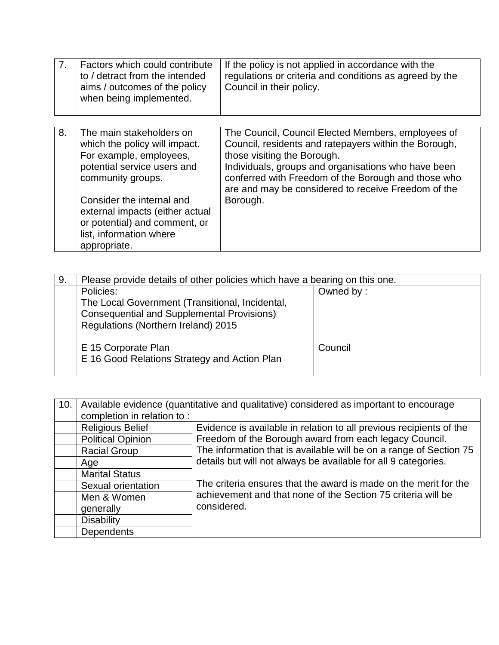| 7 <sub>1</sub> | Factors which could contribute<br>to / detract from the intended<br>aims / outcomes of the policy<br>when being implemented.                                                                                                                                                         | If the policy is not applied in accordance with the<br>regulations or criteria and conditions as agreed by the<br>Council in their policy.                                                                                                                                                                                  |
|----------------|--------------------------------------------------------------------------------------------------------------------------------------------------------------------------------------------------------------------------------------------------------------------------------------|-----------------------------------------------------------------------------------------------------------------------------------------------------------------------------------------------------------------------------------------------------------------------------------------------------------------------------|
| 8.             | The main stakeholders on<br>which the policy will impact.<br>For example, employees,<br>potential service users and<br>community groups.<br>Consider the internal and<br>external impacts (either actual<br>or potential) and comment, or<br>list, information where<br>appropriate. | The Council, Council Elected Members, employees of<br>Council, residents and ratepayers within the Borough,<br>those visiting the Borough.<br>Individuals, groups and organisations who have been<br>conferred with Freedom of the Borough and those who<br>are and may be considered to receive Freedom of the<br>Borough. |

| 9. | Please provide details of other policies which have a bearing on this one. |           |
|----|----------------------------------------------------------------------------|-----------|
|    | Policies:                                                                  | Owned by: |
|    | The Local Government (Transitional, Incidental,                            |           |
|    | <b>Consequential and Supplemental Provisions)</b>                          |           |
|    | Regulations (Northern Ireland) 2015                                        |           |
|    | E 15 Corporate Plan<br>E 16 Good Relations Strategy and Action Plan        | Council   |

| 10. | Available evidence (quantitative and qualitative) considered as important to encourage |                                                                     |
|-----|----------------------------------------------------------------------------------------|---------------------------------------------------------------------|
|     | completion in relation to:                                                             |                                                                     |
|     | <b>Religious Belief</b>                                                                | Evidence is available in relation to all previous recipients of the |
|     | <b>Political Opinion</b>                                                               | Freedom of the Borough award from each legacy Council.              |
|     | <b>Racial Group</b>                                                                    | The information that is available will be on a range of Section 75  |
|     | Age                                                                                    | details but will not always be available for all 9 categories.      |
|     | <b>Marital Status</b>                                                                  |                                                                     |
|     | Sexual orientation                                                                     | The criteria ensures that the award is made on the merit for the    |
|     | Men & Women                                                                            | achievement and that none of the Section 75 criteria will be        |
|     | generally                                                                              | considered.                                                         |
|     | <b>Disability</b>                                                                      |                                                                     |
|     | <b>Dependents</b>                                                                      |                                                                     |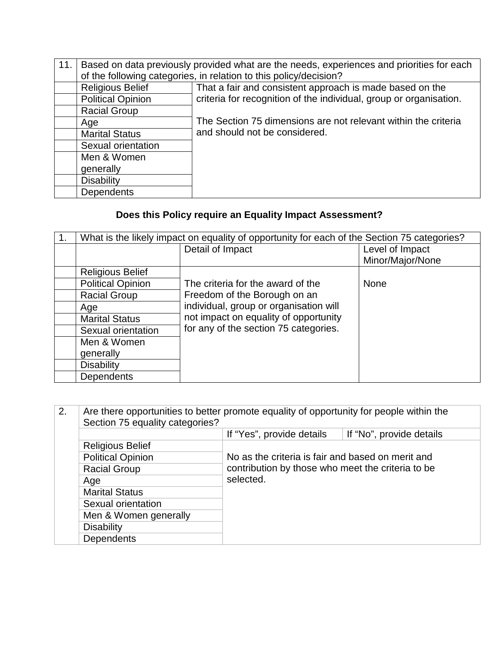| 11. | Based on data previously provided what are the needs, experiences and priorities for each |                                                                    |  |
|-----|-------------------------------------------------------------------------------------------|--------------------------------------------------------------------|--|
|     |                                                                                           | of the following categories, in relation to this policy/decision?  |  |
|     | <b>Religious Belief</b>                                                                   | That a fair and consistent approach is made based on the           |  |
|     | <b>Political Opinion</b>                                                                  | criteria for recognition of the individual, group or organisation. |  |
|     | <b>Racial Group</b>                                                                       |                                                                    |  |
|     | Age                                                                                       | The Section 75 dimensions are not relevant within the criteria     |  |
|     | <b>Marital Status</b>                                                                     | and should not be considered.                                      |  |
|     | Sexual orientation                                                                        |                                                                    |  |
|     | Men & Women                                                                               |                                                                    |  |
|     | generally                                                                                 |                                                                    |  |
|     | <b>Disability</b>                                                                         |                                                                    |  |
|     | Dependents                                                                                |                                                                    |  |

# **Does this Policy require an Equality Impact Assessment?**

| 1. | What is the likely impact on equality of opportunity for each of the Section 75 categories? |                                        |                  |
|----|---------------------------------------------------------------------------------------------|----------------------------------------|------------------|
|    |                                                                                             | Detail of Impact                       | Level of Impact  |
|    |                                                                                             |                                        | Minor/Major/None |
|    | <b>Religious Belief</b>                                                                     |                                        |                  |
|    | <b>Political Opinion</b>                                                                    | The criteria for the award of the      | <b>None</b>      |
|    | <b>Racial Group</b>                                                                         | Freedom of the Borough on an           |                  |
|    | Age                                                                                         | individual, group or organisation will |                  |
|    | <b>Marital Status</b>                                                                       | not impact on equality of opportunity  |                  |
|    | Sexual orientation                                                                          | for any of the section 75 categories.  |                  |
|    | Men & Women                                                                                 |                                        |                  |
|    | generally                                                                                   |                                        |                  |
|    | <b>Disability</b>                                                                           |                                        |                  |
|    | <b>Dependents</b>                                                                           |                                        |                  |

| 2. | Are there opportunities to better promote equality of opportunity for people within the<br>Section 75 equality categories? |                                                   |                          |
|----|----------------------------------------------------------------------------------------------------------------------------|---------------------------------------------------|--------------------------|
|    |                                                                                                                            | If "Yes", provide details                         | If "No", provide details |
|    | <b>Religious Belief</b>                                                                                                    |                                                   |                          |
|    | <b>Political Opinion</b>                                                                                                   | No as the criteria is fair and based on merit and |                          |
|    | <b>Racial Group</b>                                                                                                        | contribution by those who meet the criteria to be |                          |
|    | Age                                                                                                                        | selected.                                         |                          |
|    | <b>Marital Status</b>                                                                                                      |                                                   |                          |
|    | Sexual orientation                                                                                                         |                                                   |                          |
|    | Men & Women generally                                                                                                      |                                                   |                          |
|    | <b>Disability</b>                                                                                                          |                                                   |                          |
|    | Dependents                                                                                                                 |                                                   |                          |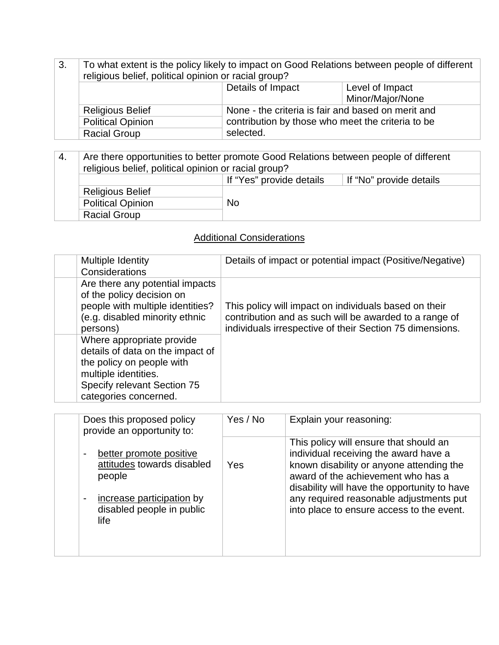| 3. | To what extent is the policy likely to impact on Good Relations between people of different<br>religious belief, political opinion or racial group? |                                                    |                  |
|----|-----------------------------------------------------------------------------------------------------------------------------------------------------|----------------------------------------------------|------------------|
|    |                                                                                                                                                     | Details of Impact                                  | Level of Impact  |
|    |                                                                                                                                                     |                                                    | Minor/Major/None |
|    | <b>Religious Belief</b>                                                                                                                             | None - the criteria is fair and based on merit and |                  |
|    | <b>Political Opinion</b>                                                                                                                            | contribution by those who meet the criteria to be  |                  |
|    | <b>Racial Group</b>                                                                                                                                 | selected.                                          |                  |

4. Are there opportunities to better promote Good Relations between people of different religious belief, political opinion or racial group? If "Yes" provide details | If "No" provide details Religious Belief Political Opinion No Racial Group

#### Additional Considerations

| Multiple Identity<br>Considerations                                                                                                                                        | Details of impact or potential impact (Positive/Negative)                                                                                                                   |
|----------------------------------------------------------------------------------------------------------------------------------------------------------------------------|-----------------------------------------------------------------------------------------------------------------------------------------------------------------------------|
| Are there any potential impacts<br>of the policy decision on<br>people with multiple identities?<br>(e.g. disabled minority ethnic<br>persons)                             | This policy will impact on individuals based on their<br>contribution and as such will be awarded to a range of<br>individuals irrespective of their Section 75 dimensions. |
| Where appropriate provide<br>details of data on the impact of<br>the policy on people with<br>multiple identities.<br>Specify relevant Section 75<br>categories concerned. |                                                                                                                                                                             |

| Does this proposed policy<br>provide an opportunity to:                                                                           | Yes / No | Explain your reasoning:                                                                                                                                                                                                                                                                                   |
|-----------------------------------------------------------------------------------------------------------------------------------|----------|-----------------------------------------------------------------------------------------------------------------------------------------------------------------------------------------------------------------------------------------------------------------------------------------------------------|
| better promote positive<br>attitudes towards disabled<br>people<br>increase participation by<br>disabled people in public<br>life | Yes      | This policy will ensure that should an<br>individual receiving the award have a<br>known disability or anyone attending the<br>award of the achievement who has a<br>disability will have the opportunity to have<br>any required reasonable adjustments put<br>into place to ensure access to the event. |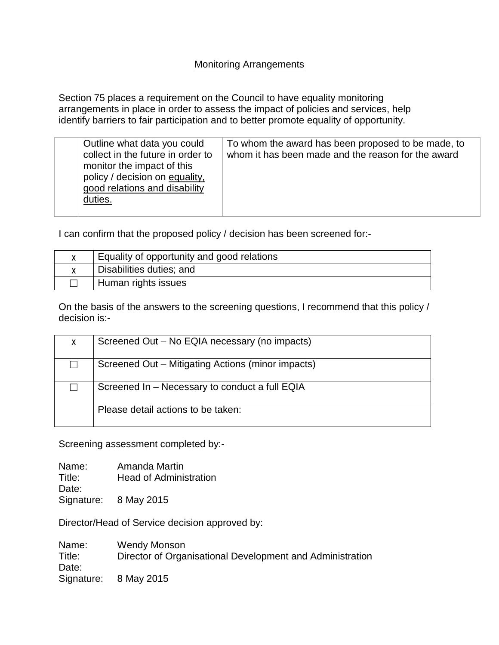#### Monitoring Arrangements

Section 75 places a requirement on the Council to have equality monitoring arrangements in place in order to assess the impact of policies and services, help identify barriers to fair participation and to better promote equality of opportunity.

| Outline what data you could<br>collect in the future in order to<br>monitor the impact of this<br>policy / decision on equality,<br>good relations and disability<br>duties. | To whom the award has been proposed to be made, to<br>whom it has been made and the reason for the award |
|------------------------------------------------------------------------------------------------------------------------------------------------------------------------------|----------------------------------------------------------------------------------------------------------|
|                                                                                                                                                                              |                                                                                                          |

I can confirm that the proposed policy / decision has been screened for:-

| Equality of opportunity and good relations |
|--------------------------------------------|
| Disabilities duties; and                   |
| Human rights issues                        |

On the basis of the answers to the screening questions, I recommend that this policy / decision is:-

| X | Screened Out – No EQIA necessary (no impacts)                                        |  |
|---|--------------------------------------------------------------------------------------|--|
|   | Screened Out - Mitigating Actions (minor impacts)                                    |  |
|   | Screened In - Necessary to conduct a full EQIA<br>Please detail actions to be taken: |  |
|   |                                                                                      |  |

Screening assessment completed by:-

Name: Amanda Martin Title: Head of Administration Date: Signature: 8 May 2015

Director/Head of Service decision approved by:

Name: Wendy Monson<br>Title: Director of Organ Director of Organisational Development and Administration Date: Signature: 8 May 2015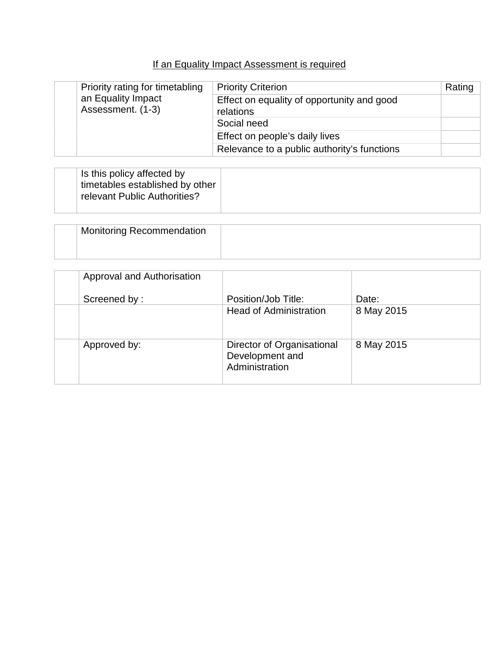### If an Equality Impact Assessment is required

|  | Priority rating for timetabling<br>an Equality Impact<br>Assessment. (1-3) | <b>Priority Criterion</b>                               | Rating |
|--|----------------------------------------------------------------------------|---------------------------------------------------------|--------|
|  |                                                                            | Effect on equality of opportunity and good<br>relations |        |
|  |                                                                            | Social need                                             |        |
|  |                                                                            | Effect on people's daily lives                          |        |
|  |                                                                            | Relevance to a public authority's functions             |        |

| Is this policy affected by<br>timetables established by other<br>relevant Public Authorities? |  |
|-----------------------------------------------------------------------------------------------|--|
|-----------------------------------------------------------------------------------------------|--|

| <b>Monitoring Recommendation</b> |  |
|----------------------------------|--|
|                                  |  |

| Approval and Authorisation |                                                                 |            |
|----------------------------|-----------------------------------------------------------------|------------|
| Screened by:               | Position/Job Title:                                             | Date:      |
|                            | <b>Head of Administration</b>                                   | 8 May 2015 |
| Approved by:               | Director of Organisational<br>Development and<br>Administration | 8 May 2015 |